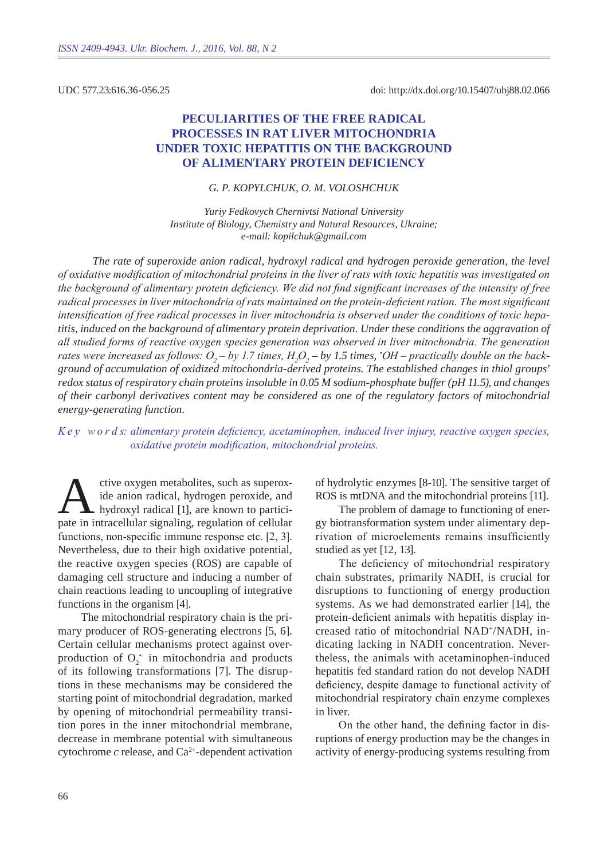UDC 577.23:616.36-056.25

# **Peculiarities of the free radical processes in rat liver mitochondria under toxic hepatitis on the background of alimentary protein deficiency**

### *G. P. Kopylchuk , O. M. Voloshchuk*

*Yuriy Fedkovych Chernivtsi National University Institute of Biology, Chemistry and Natural Resources, Ukraine; e-mail: kopilchuk@gmail.com*

*The rate of superoxide anion radical, hydroxyl radical and hydrogen peroxide generation, the level of oxidative modification of mitochondrial proteins in the liver of rats with toxic hepatitis was investigated on the background of alimentary protein deficiency. We did not find significant increases of the intensity of free radical processes in liver mitochondria of rats maintained on the protein-deficient ration. The most significant intensification of free radical processes in liver mitochondria is observed under the conditions of toxic hepatitis, induced on the background of alimentary protein deprivation. Under these conditions the aggravation of all studied forms of reactive oxygen species generation was observed in liver mitochondria. The generation rates were increased as follows:*  $O_2$  – by 1.7 times,  $H_2O_2$  – by 1.5 times,  $^{\star}$ OH – practically double on the back*ground of accumulation of oxidized mitochondria-derived proteins. The established changes in thiol groups' redox status of respiratory chain proteins insoluble in 0.05 M sodium-phosphate buffer (pH 11.5), and changes of their carbonyl derivatives content may be considered as one of the regulatory factors of mitochondrial energy-generating function.*

### *K e y w o r d s: alimentary protein deficiency, acetaminophen, induced liver injury, reactive oxygen species, oxidative protein modification, mitochondrial proteins.*

ctive oxygen metabolites, such as superox-<br>ide anion radical, hydrogen peroxide, and<br>hydroxyl radical [1], are known to partici-<br>pate in intracellular signaling regulation of cellular ide anion radical, hydrogen peroxide, and hydroxyl radical [1], are known to participate in intracellular signaling, regulation of cellular functions, non-specific immune response etc. [2, 3]. Nevertheless, due to their high oxidative potential, the reactive oxygen species (ROS) are capable of damaging cell structure and inducing a number of chain reactions leading to uncoupling of integrative functions in the organism [4].

The mitochondrial respiratory chain is the primary producer of ROS-generating electrons [5, 6]. Certain cellular mechanisms protect against overproduction of  $O_2$ <sup>+</sup> in mitochondria and products of its following transformations [7]. The disruptions in these mechanisms may be considered the starting point of mitochondrial degradation, marked by opening of mitochondrial permeability transition pores in the inner mitochondrial membrane, decrease in membrane potential with simultaneous cytochrome  $c$  release, and  $Ca^{2+}$ -dependent activation

of hydrolytic enzymes [8-10]. The sensitive target of ROS is mtDNA and the mitochondrial proteins [11].

The problem of damage to functioning of energy biotransformation system under alimentary deprivation of microelements remains insufficiently studied as yet [12, 13].

The deficiency of mitochondrial respiratory chain substrates, primarily NADH, is crucial for disruptions to functioning of energy production systems. As we had demonstrated earlier [14], the protein-deficient animals with hepatitis display increased ratio of mitochondrial NAD+/NADH, indicating lacking in NADH concentration. Nevertheless, the animals with acetaminophen-induced hepatitis fed standard ration do not develop NADH deficiency, despite damage to functional activity of mitochondrial respiratory chain enzyme complexes in liver.

On the other hand, the defining factor in disruptions of energy production may be the changes in activity of energy-producing systems resulting from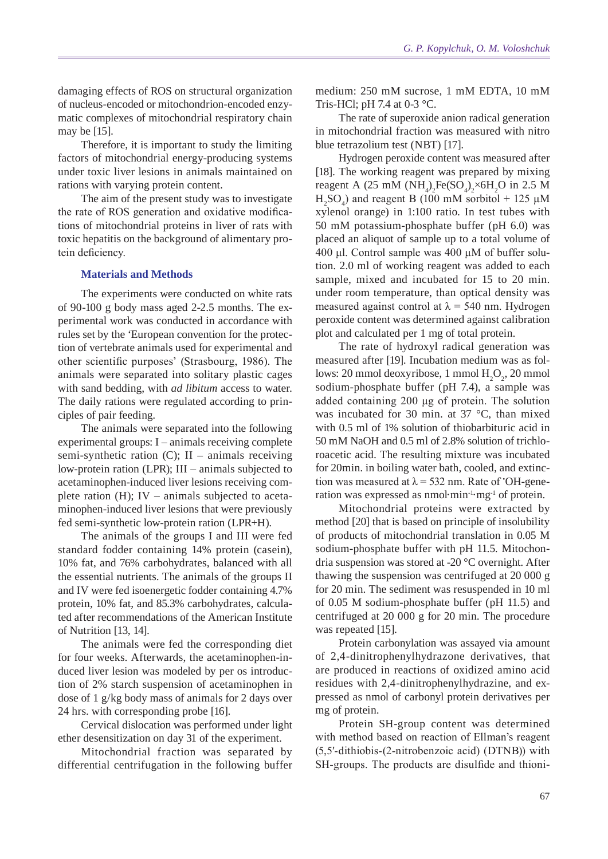damaging effects of ROS on structural organization of nucleus-encoded or mitochondrion-encoded enzymatic complexes of mitochondrial respiratory chain may be [15].

Therefore, it is important to study the limiting factors of mitochondrial energy-producing systems under toxic liver lesions in animals maintained on rations with varying protein content.

The aim of the present study was to investigate the rate of ROS generation and oxidative modifications of mitochondrial proteins in liver of rats with toxic hepatitis on the background of alimentary protein deficiency.

### **Materials and Methods**

The experiments were conducted on white rats of 90-100 g body mass aged 2-2.5 months. The experimental work was conducted in accordance with rules set by the 'European convention for the protection of vertebrate animals used for experimental and other scientific purposes' (Strasbourg, 1986). The animals were separated into solitary plastic cages with sand bedding, with *ad libitum* access to water. The daily rations were regulated according to principles of pair feeding.

The animals were separated into the following experimental groups: I – animals receiving complete semi-synthetic ration (C); II – animals receiving low-protein ration (LPR); III – animals subjected to acetaminophen-induced liver lesions receiving complete ration (H); IV – animals subjected to acetaminophen-induced liver lesions that were previously fed semi-synthetic low-protein ration (LPR+H).

The animals of the groups I and III were fed standard fodder containing 14% protein (casein), 10% fat, and 76% carbohydrates, balanced with all the essential nutrients. The animals of the groups II and IV were fed isoenergetic fodder containing 4.7% protein, 10% fat, and 85.3% carbohydrates, calculated after recommendations of the American Institute of Nutrition [13, 14].

The animals were fed the corresponding diet for four weeks. Afterwards, the acetaminophen-induced liver lesion was modeled by per os introduction of 2% starch suspension of acetaminophen in dose of 1 g/kg body mass of animals for 2 days over 24 hrs. with corresponding probe [16].

Cervical dislocation was performed under light ether desensitization on day 31 of the experiment.

Mitochondrial fraction was separated by differential centrifugation in the following buffer medium: 250 mM sucrose, 1 mM EDTA, 10 mM Tris-HCl; pH 7.4 at 0-3  $^{\circ}$ C.

The rate of superoxide anion radical generation in mitochondrial fraction was measured with nitro blue tetrazolium test (NBT) [17].

Hydrogen peroxide content was measured after [18]. The working reagent was prepared by mixing reagent A (25 mM  $(NH_4)_2Fe(SO_4)_2\times 6H_2O$  in 2.5 M  $H<sub>2</sub>SO<sub>4</sub>$ ) and reagent B (100 mM sorbitol + 125 µM xylenol orange) in 1:100 ratio. In test tubes with 50 mM potassium-phosphate buffer (pH 6.0) was placed an aliquot of sample up to a total volume of 400 μl. Control sample was 400 μM of buffer solution. 2.0 ml of working reagent was added to each sample, mixed and incubated for 15 to 20 min. under room temperature, than optical density was measured against control at  $\lambda$  = 540 nm. Hydrogen peroxide content was determined against calibration plot and calculated per 1 mg of total protein.

The rate of hydroxyl radical generation was measured after [19]. Incubation medium was as follows: 20 mmol deoxyribose, 1 mmol  $H_2O_2$ , 20 mmol sodium-phosphate buffer (pH 7.4), a sample was added containing 200 μg of protein. The solution was incubated for 30 min. at 37 °C, than mixed with 0.5 ml of 1% solution of thiobarbituric acid in 50 mM NaOH and 0.5 ml of 2.8% solution of trichloroacetic acid. The resulting mixture was incubated for 20min. in boiling water bath, cooled, and extinction was measured at  $\lambda$  = 532 nm. Rate of 'OH-generation was expressed as nmol $\cdot$ min $^{-1} \cdot$ mg $^{-1}$  of protein.

Mitochondrial proteins were extracted by method [20] that is based on principle of insolubility of products of mitochondrial translation in 0.05 M sodium-phosphate buffer with pH 11.5. Mitochondria suspension was stored at -20 °C overnight. After thawing the suspension was centrifuged at 20 000 g for 20 min. The sediment was resuspended in 10 ml of 0.05 M sodium-phosphate buffer (pH 11.5) and centrifuged at 20 000 g for 20 min. The procedure was repeated [15].

Protein carbonylation was assayed via amount of 2,4-dinitrophenylhydrazone derivatives, that are produced in reactions of oxidized amino acid residues with 2,4-dinitrophenylhydrazine, and expressed as nmol of carbonyl protein derivatives per mg of protein.

Protein SH-group content was determined with method based on reaction of Ellman's reagent (5,5′-dithiobis-(2-nitrobenzoic acid) (DTNB)) with SH-groups. The products are disulfide and thioni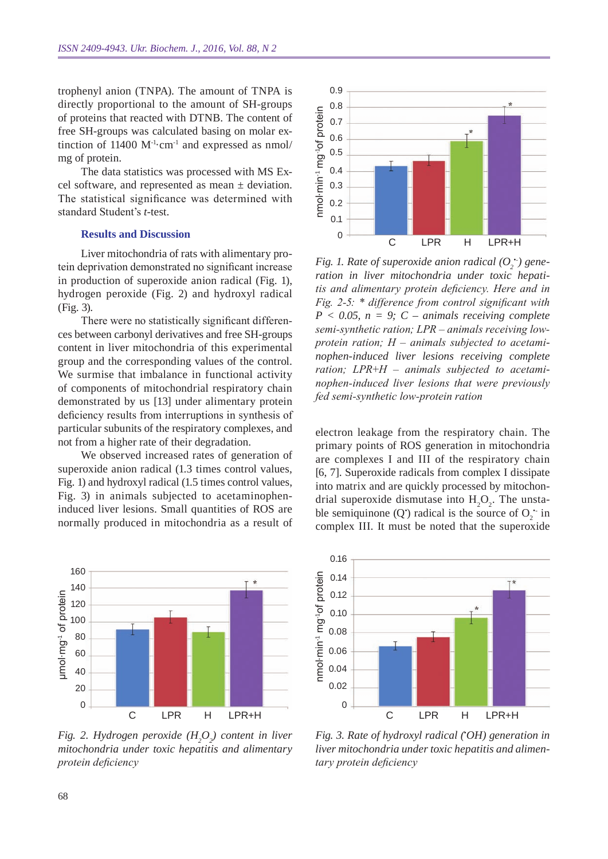trophenyl anion (TNPA). The amount of TNPA is directly proportional to the amount of SH-groups of proteins that reacted with DTNB. The content of free SH-groups was calculated basing on molar extinction of  $11400 \text{ M}^{-1}\text{cm}^{-1}$  and expressed as nmol/ mg of protein.

The data statistics was processed with MS Excel software, and represented as mean ± deviation. The statistical significance was determined with standard Student's *t*-test.

#### **Results and Discussion**

Liver mitochondria of rats with alimentary protein deprivation demonstrated no significant increase in production of superoxide anion radical (Fig. 1), hydrogen peroxide (Fig. 2) and hydroxyl radical (Fig. 3).

There were no statistically significant differences between carbonyl derivatives and free SH-groups content in liver mitochondria of this experimental group and the corresponding values of the control. We surmise that imbalance in functional activity of components of mitochondrial respiratory chain demonstrated by us [13] under alimentary protein deficiency results from interruptions in synthesis of particular subunits of the respiratory complexes, and not from a higher rate of their degradation.

We observed increased rates of generation of superoxide anion radical (1.3 times control values, Fig. 1) and hydroxyl radical (1.5 times control values, Fig. 3) in animals subjected to acetaminopheninduced liver lesions. Small quantities of ROS are normally produced in mitochondria as a result of



*Fig.* 2. Hydrogen peroxide (H<sub>2</sub>O<sub>2</sub>) content in liver *mitochondria under toxic hepatitis and alimentary protein deficiency*



*Fig. 1. Rate of superoxide anion radical*  $(O_2^{\bullet})$  gene*ration in liver mitochondria under toxic hepatitis and alimentary protein deficiency. Here and in Fig. 2-5: \* difference from control significant with p < 0.05, n = 9; C – animals receiving complete semi-synthetic ration; LPR – animals receiving lowprotein ration; H – animals subjected to acetaminophen-induced liver lesions receiving complete ration; LPR+H – animals subjected to acetaminophen-induced liver lesions that were previously fed semi-synthetic low-protein ration*

electron leakage from the respiratory chain. The primary points of ROS generation in mitochondria are complexes I and III of the respiratory chain [6, 7]. Superoxide radicals from complex I dissipate into matrix and are quickly processed by mitochondrial superoxide dismutase into  $H_2O_2$ . The unstable semiquinone  $(Q')$  radical is the source of  $O_2^{\text{th}}$  in complex III. It must be noted that the superoxide



*Fig. 3. Rate of hydroxyl radical (• OH) generation in liver mitochondria under toxic hepatitis and alimentary protein deficiency*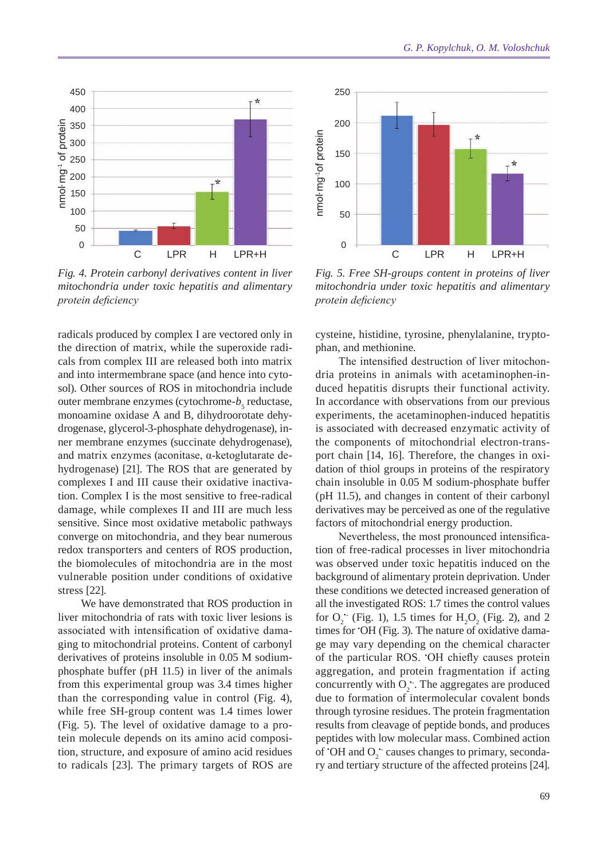

*Fig. 4. Protein carbonyl derivatives content in liver mitochondria under toxic hepatitis and alimentary protein deficiency*

radicals produced by complex I are vectored only in the direction of matrix, while the superoxide radicals from complex III are released both into matrix and into intermembrane space (and hence into cytosol). Other sources of ROS in mitochondria include outer membrane enzymes (cytochrome- $b<sub>5</sub>$  reductase, monoamine oxidase A and B, dihydroorotate dehydrogenase, glycerol-3-phosphate dehydrogenase), inner membrane enzymes (succinate dehydrogenase), and matrix enzymes (aconitase, α-ketoglutarate dehydrogenase) [21]. The ROS that are generated by complexes I and III cause their oxidative inactivation. Complex I is the most sensitive to free-radical damage, while complexes II and III are much less sensitive. Since most oxidative metabolic pathways converge on mitochondria, and they bear numerous redox transporters and centers of ROS production, the biomolecules of mitochondria are in the most vulnerable position under conditions of oxidative stress [22].

We have demonstrated that ROS production in liver mitochondria of rats with toxic liver lesions is associated with intensification of oxidative damaging to mitochondrial proteins. Content of carbonyl derivatives of proteins insoluble in 0.05 M sodiumphosphate buffer (pH 11.5) in liver of the animals from this experimental group was 3.4 times higher than the corresponding value in control (Fig. 4), while free SH-group content was 1.4 times lower (Fig. 5). The level of oxidative damage to a protein molecule depends on its amino acid composition, structure, and exposure of amino acid residues to radicals [23]. The primary targets of ROS are



*Fig. 5. Free SH-groups content in proteins of liver mitochondria under toxic hepatitis and alimentary protein deficiency*

cysteine, histidine, tyrosine, phenylalanine, tryptophan, and methionine.

The intensified destruction of liver mitochondria proteins in animals with acetaminophen-induced hepatitis disrupts their functional activity. In accordance with observations from our previous experiments, the acetaminophen-induced hepatitis is associated with decreased enzymatic activity of the components of mitochondrial electron-transport chain [14, 16]. Therefore, the changes in oxidation of thiol groups in proteins of the respiratory chain insoluble in 0.05 M sodium-phosphate buffer (pH 11.5), and changes in content of their carbonyl derivatives may be perceived as one of the regulative factors of mitochondrial energy production.

Nevertheless, the most pronounced intensification of free-radical processes in liver mitochondria was observed under toxic hepatitis induced on the background of alimentary protein deprivation. Under these conditions we detected increased generation of all the investigated ROS: 1.7 times the control values for  $O_2$ <sup>\*</sup> (Fig. 1), 1.5 times for  $H_2O_2$  (Fig. 2), and 2 times for • OH (Fig. 3). The nature of oxidative damage may vary depending on the chemical character of the particular ROS. • OH chiefly causes protein aggregation, and protein fragmentation if acting concurrently with  $O_2$ . The aggregates are produced due to formation of intermolecular covalent bonds through tyrosine residues. The protein fragmentation results from cleavage of peptide bonds, and produces peptides with low molecular mass. Combined action of 'OH and  $O_2$ ' causes changes to primary, secondary and tertiary structure of the affected proteins [24].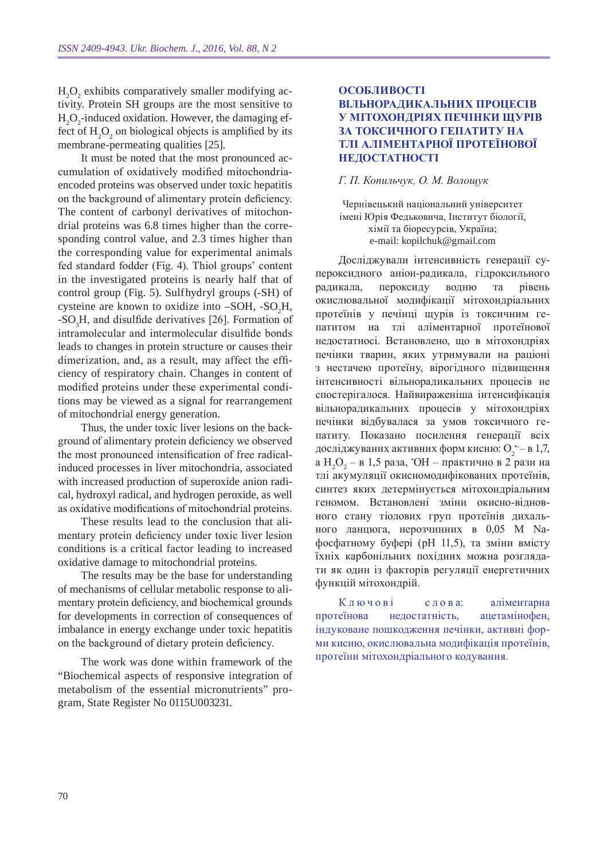$H_2O_2$  exhibits comparatively smaller modifying activity. Protein SH groups are the most sensitive to  $H_2O_2$ -induced oxidation. However, the damaging effect of  $H_2O_2$  on biological objects is amplified by its membrane-permeating qualities [25].

It must be noted that the most pronounced accumulation of oxidatively modified mitochondriaencoded proteins was observed under toxic hepatitis on the background of alimentary protein deficiency. The content of carbonyl derivatives of mitochondrial proteins was 6.8 times higher than the corresponding control value, and 2.3 times higher than the corresponding value for experimental animals fed standard fodder (Fig. 4). Thiol groups' content in the investigated proteins is nearly half that of control group (Fig. 5). Sulfhydryl groups (-SH) of cysteine are known to oxidize into  $-SOH$ ,  $-SO<sub>2</sub>H$ ,  $-SO_3H$ , and disulfide derivatives [26]. Formation of intramolecular and intermolecular disulfide bonds leads to changes in protein structure or causes their dimerization, and, as a result, may affect the efficiency of respiratory chain. Changes in content of modified proteins under these experimental conditions may be viewed as a signal for rearrangement of mitochondrial energy generation.

Thus, the under toxic liver lesions on the background of alimentary protein deficiency we observed the most pronounced intensification of free radicalinduced processes in liver mitochondria, associated with increased production of superoxide anion radical, hydroxyl radical, and hydrogen peroxide, as well as oxidative modifications of mitochondrial proteins.

These results lead to the conclusion that alimentary protein deficiency under toxic liver lesion conditions is a critical factor leading to increased oxidative damage to mitochondrial proteins.

The results may be the base for understanding of mechanisms of cellular metabolic response to alimentary protein deficiency, and biochemical grounds for developments in correction of consequences of imbalance in energy exchange under toxic hepatitis on the background of dietary protein deficiency.

The work was done within framework of the "Biochemical aspects of responsive integration of metabolism of the essential micronutrients" program, State Register No 0115U003231.

### **Особливості вільнорадикальних процесів у мітохондріях печінки щурів за токсичного гепатиту на тлі аліментарної протеїнової недостатності**

### *Г. П. Копильчук, О. М. Волощук*

Чернівецький національний університет імені Юрія Федьковича, Інститут біології, хімії та біоресурсів, Україна; e-mail: kopilchuk@gmail.com

Досліджували інтенсивність генерації супероксидного аніон-радикала, гідроксильного радикала, пероксиду водню та рівень окислювальної модифікації мітохондріальних протеїнів у печінці щурів із токсичним гепатитом на тлі аліментарної протеїнової недостатносі. Встановлено, що в мітохондріях печінки тварин, яких утримували на раціоні з нестачею протеїну, вірогідного підвищення інтенсивності вільнорадикальних процесів не спостерігалося. Найвираженіша інтенсифікація вільнорадикальних процесів у мітохондріях печінки відбувалася за умов токсичного гепатиту. Показано посилення генерації всіх досліджуваних активних форм кисню:  $O_2$  — в 1,7, а Н<sub>2</sub>О<sub>2</sub> – в 1,5 раза, 'ОН – практично в 2 рази на тлі акумуляції окисномодифікованих протеїнів, синтез яких детермінується мітохондріальним геномом. Встановлені зміни окисно-відновного стану тіолових груп протеїнів дихального ланцюга, нерозчинних в 0,05 М Naфосфатному буфері (рН 11,5), та зміни вмісту їхніх карбонільних похідних можна розглядати як один із факторів регуляції енергетичних функцій мітохондрій.

Ключові слова: аліментарна протеїнова недостатність, ацетамінофен, індуковане пошкодження печінки, активні форми кисню, окислювальна модифікація протеїнів, протеїни мітохондріального кодування.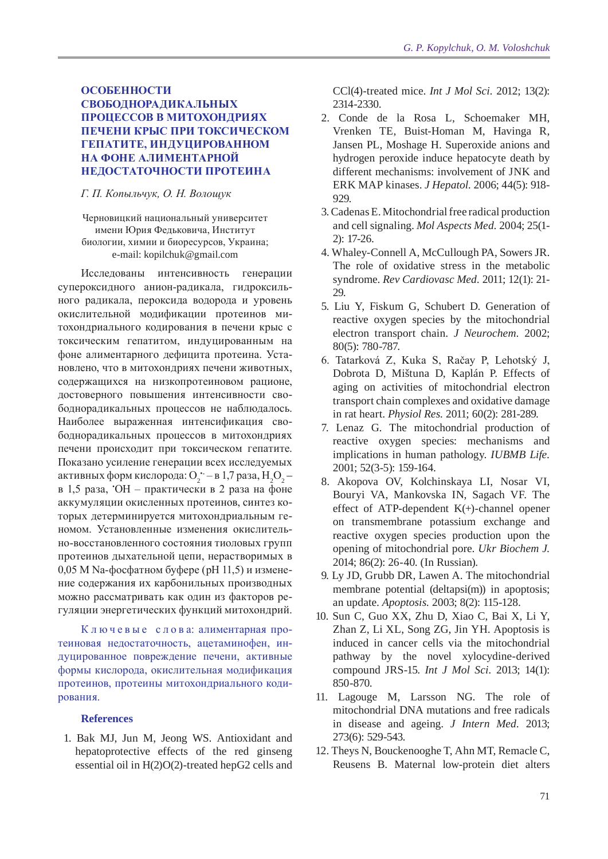## **Особенности свободнорадикальных процессов в митохондриях печени крыс при токсическом гепатите, индуцированном на фоне алиментарной недостаточности протеина**

### *Г. П. Копыльчук, О. Н. Волощук*

Черновицкий национальный университет имени Юрия Федьковича, Институт биологии, химии и биоресурсов, Украина; e-mail: kopilchuk@gmail.com

Исследованы интенсивность генерации супероксидного анион-радикала, гидроксильного радикала, пероксида водорода и уровень окислительной модификации протеинов митохондриального кодирования в печени крыс с токсическим гепатитом, индуцированным на фоне алиментарного дефицита протеина. Установлено, что в митохондриях печени животных, содержащихся на низкопротеиновом рационе, достоверного повышения интенсивности свободнорадикальных процессов не наблюдалось. Наиболее выраженная интенсификация свободнорадикальных процессов в митохондриях печени происходит при токсическом гепатите. Показано усиление генерации всех исследуемых активных форм кислорода: О $_2$  — в 1,7 раза,  ${\rm H}_2{\rm O}_2$  в 1,5 раза, • ОН – практически в 2 раза на фоне аккумуляции окисленных протеинов, синтез которых детерминируется митохондриальным геномом. Установленные изменения окислительно-восстановленного состояния тиоловых групп протеинов дыхательной цепи, нерастворимых в 0,05 М Na-фосфатном буфере (рН 11,5) и изменение содержания их карбонильных производных можно рассматривать как один из факторов регуляции энергетических функций митохондрий.

К л ю ч е в ы е с л о в а: алиментарная протеиновая недостаточность, ацетаминофен, индуцированное повреждение печени, активные формы кислорода, окислительная модификация протеинов, протеины митохондриального кодирования.

#### **References**

1. Bak MJ, Jun M, Jeong WS. Antioxidant and hepatoprotective effects of the red ginseng essential oil in H(2)O(2)-treated hepG2 cells and CCl(4)-treated mice. *Int J Mol Sci.* 2012; 13(2): 2314-2330.

- 2. Conde de la Rosa L, Schoemaker MH, Vrenken TE, Buist-Homan M, Havinga R, Jansen PL, Moshage H. Superoxide anions and hydrogen peroxide induce hepatocyte death by different mechanisms: involvement of JNK and ERK MAP kinases. *J Hepatol.* 2006; 44(5): 918- 929.
- 3. Cadenas E. Mitochondrial free radical production and cell signaling. *Mol Aspects Med.* 2004; 25(1- 2): 17-26.
- 4. Whaley-Connell A, McCullough PA, Sowers JR. The role of oxidative stress in the metabolic syndrome. *Rev Cardiovasc Med.* 2011; 12(1): 21- 29.
- 5. Liu Y, Fiskum G, Schubert D. Generation of reactive oxygen species by the mitochondrial electron transport chain. *J Neurochem.* 2002; 80(5): 780-787.
- 6. Tatarková Z, Kuka S, Račay P, Lehotský J, Dobrota D, Mištuna D, Kaplán P. Effects of aging on activities of mitochondrial electron transport chain complexes and oxidative damage in rat heart. *Physiol Res.* 2011; 60(2): 281-289.
- 7. Lenaz G. The mitochondrial production of reactive oxygen species: mechanisms and implications in human pathology. *IUBMB Life.*  2001; 52(3-5): 159-164.
- 8. Akopova OV, Kolchinskaya LI, Nosar VI, Bouryi VA, Mankovska IN, Sagach VF. The effect of ATP-dependent K(+)-channel opener on transmembrane potassium exchange and reactive oxygen species production upon the opening of mitochondrial pore. *Ukr Biochem J.*  2014; 86(2): 26-40. (In Russian).
- 9. Ly JD, Grubb DR, Lawen A. The mitochondrial membrane potential (deltapsi(m)) in apoptosis; an update. *Apoptosis.* 2003; 8(2): 115-128.
- 10. Sun C, Guo XX, Zhu D, Xiao C, Bai X, Li Y, Zhan Z, Li XL, Song ZG, Jin YH. Apoptosis is induced in cancer cells via the mitochondrial pathway by the novel xylocydine-derived compound JRS-15. *Int J Mol Sci.* 2013; 14(1): 850-870.
- 11. Lagouge M, Larsson NG. The role of mitochondrial DNA mutations and free radicals in disease and ageing. *J Intern Med.* 2013; 273(6): 529-543.
- 12. Theys N, Bouckenooghe T, Ahn MT, Remacle C, Reusens B. Maternal low-protein diet alters